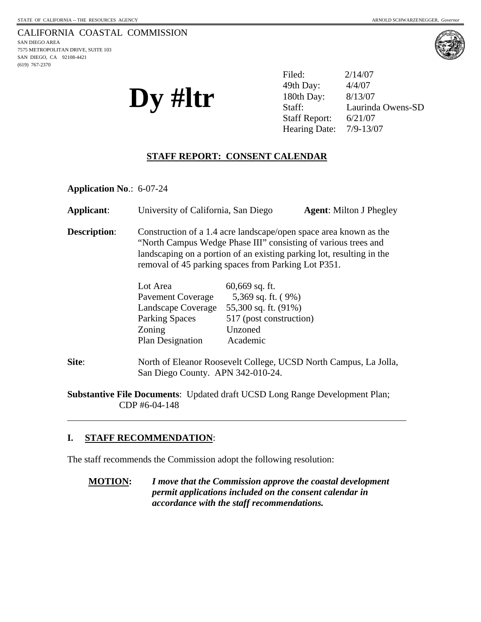(619) 767-2370

CALIFORNIA COASTAL COMMISSION SAN DIEGO AREA 7575 METROPOLITAN DRIVE, SUITE 103 SAN DIEGO, CA 92108-4421





| $\mathbf{D} \mathbf{y}$ #ltr | Filed:                    | 2/14/07           |
|------------------------------|---------------------------|-------------------|
|                              | 49th Day:                 | 4/4/07            |
|                              | 180th Day:                | 8/13/07           |
|                              | Staff:                    | Laurinda Owens-SD |
|                              | <b>Staff Report:</b>      | 6/21/07           |
|                              | Hearing Date: $7/9-13/07$ |                   |

### **STAFF REPORT: CONSENT CALENDAR**

**Application No**.: 6-07-24

| Applicant:          | University of California, San Diego                                                                                                                                                                                                                                 |                                                                                                                  | <b>Agent:</b> Milton J Phegley |
|---------------------|---------------------------------------------------------------------------------------------------------------------------------------------------------------------------------------------------------------------------------------------------------------------|------------------------------------------------------------------------------------------------------------------|--------------------------------|
| <b>Description:</b> | Construction of a 1.4 acre landscape/open space area known as the<br>"North Campus Wedge Phase III" consisting of various trees and<br>landscaping on a portion of an existing parking lot, resulting in the<br>removal of 45 parking spaces from Parking Lot P351. |                                                                                                                  |                                |
|                     | Lot Area<br>Pavement Coverage<br>Landscape Coverage<br><b>Parking Spaces</b><br>Zoning<br><b>Plan Designation</b>                                                                                                                                                   | $60,669$ sq. ft.<br>5,369 sq. ft. (9%)<br>55,300 sq. ft. (91%)<br>517 (post construction)<br>Unzoned<br>Academic |                                |
| Site:               | North of Eleanor Roosevelt College, UCSD North Campus, La Jolla,<br>San Diego County. APN 342-010-24.                                                                                                                                                               |                                                                                                                  |                                |

**Substantive File Documents**: Updated draft UCSD Long Range Development Plan; CDP #6-04-148

### **I. STAFF RECOMMENDATION**:

 $\overline{a}$ 

The staff recommends the Commission adopt the following resolution:

**MOTION:** *I move that the Commission approve the coastal development permit applications included on the consent calendar in accordance with the staff recommendations.*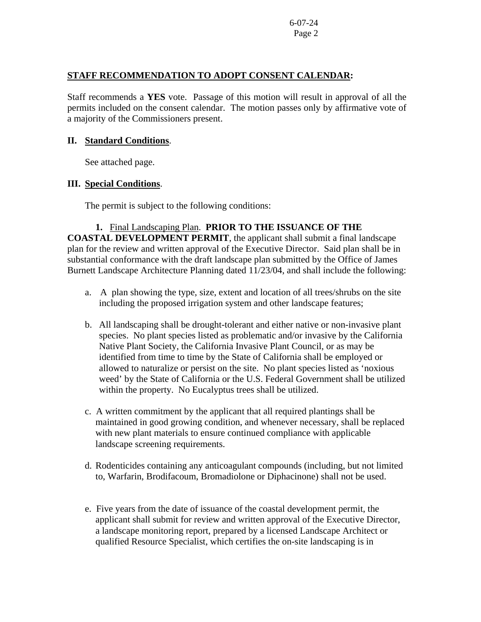### **STAFF RECOMMENDATION TO ADOPT CONSENT CALENDAR:**

Staff recommends a **YES** vote. Passage of this motion will result in approval of all the permits included on the consent calendar. The motion passes only by affirmative vote of a majority of the Commissioners present.

## **II. Standard Conditions**.

See attached page.

# **III. Special Conditions**.

The permit is subject to the following conditions:

# **1.** Final Landscaping Plan. **PRIOR TO THE ISSUANCE OF THE**

**COASTAL DEVELOPMENT PERMIT**, the applicant shall submit a final landscape plan for the review and written approval of the Executive Director. Said plan shall be in substantial conformance with the draft landscape plan submitted by the Office of James Burnett Landscape Architecture Planning dated 11/23/04, and shall include the following:

- a. A plan showing the type, size, extent and location of all trees/shrubs on the site including the proposed irrigation system and other landscape features;
- b. All landscaping shall be drought-tolerant and either native or non-invasive plant species. No plant species listed as problematic and/or invasive by the California Native Plant Society, the California Invasive Plant Council, or as may be identified from time to time by the State of California shall be employed or allowed to naturalize or persist on the site. No plant species listed as 'noxious weed' by the State of California or the U.S. Federal Government shall be utilized within the property. No Eucalyptus trees shall be utilized.
- c. A written commitment by the applicant that all required plantings shall be maintained in good growing condition, and whenever necessary, shall be replaced with new plant materials to ensure continued compliance with applicable landscape screening requirements.
- d. Rodenticides containing any anticoagulant compounds (including, but not limited to, Warfarin, Brodifacoum, Bromadiolone or Diphacinone) shall not be used.
- e. Five years from the date of issuance of the coastal development permit, the applicant shall submit for review and written approval of the Executive Director, a landscape monitoring report, prepared by a licensed Landscape Architect or qualified Resource Specialist, which certifies the on-site landscaping is in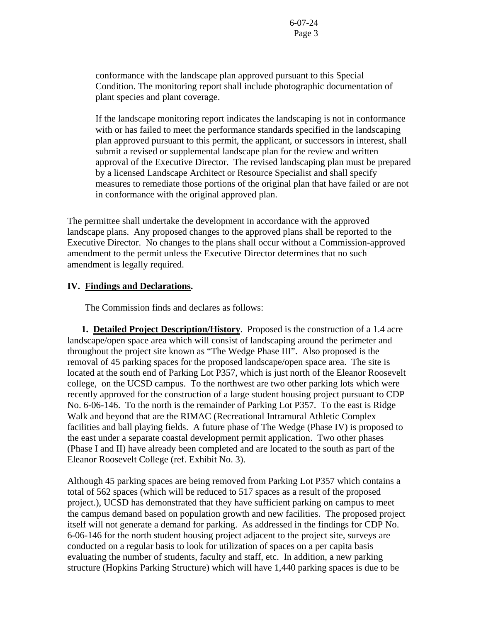conformance with the landscape plan approved pursuant to this Special Condition. The monitoring report shall include photographic documentation of plant species and plant coverage.

If the landscape monitoring report indicates the landscaping is not in conformance with or has failed to meet the performance standards specified in the landscaping plan approved pursuant to this permit, the applicant, or successors in interest, shall submit a revised or supplemental landscape plan for the review and written approval of the Executive Director. The revised landscaping plan must be prepared by a licensed Landscape Architect or Resource Specialist and shall specify measures to remediate those portions of the original plan that have failed or are not in conformance with the original approved plan.

The permittee shall undertake the development in accordance with the approved landscape plans. Any proposed changes to the approved plans shall be reported to the Executive Director. No changes to the plans shall occur without a Commission-approved amendment to the permit unless the Executive Director determines that no such amendment is legally required.

### **IV. Findings and Declarations.**

The Commission finds and declares as follows:

 **1. Detailed Project Description/History**. Proposed is the construction of a 1.4 acre landscape/open space area which will consist of landscaping around the perimeter and throughout the project site known as "The Wedge Phase III". Also proposed is the removal of 45 parking spaces for the proposed landscape/open space area. The site is located at the south end of Parking Lot P357, which is just north of the Eleanor Roosevelt college, on the UCSD campus. To the northwest are two other parking lots which were recently approved for the construction of a large student housing project pursuant to CDP No. 6-06-146. To the north is the remainder of Parking Lot P357. To the east is Ridge Walk and beyond that are the RIMAC (Recreational Intramural Athletic Complex facilities and ball playing fields. A future phase of The Wedge (Phase IV) is proposed to the east under a separate coastal development permit application. Two other phases (Phase I and II) have already been completed and are located to the south as part of the Eleanor Roosevelt College (ref. Exhibit No. 3).

Although 45 parking spaces are being removed from Parking Lot P357 which contains a total of 562 spaces (which will be reduced to 517 spaces as a result of the proposed project.), UCSD has demonstrated that they have sufficient parking on campus to meet the campus demand based on population growth and new facilities. The proposed project itself will not generate a demand for parking. As addressed in the findings for CDP No. 6-06-146 for the north student housing project adjacent to the project site, surveys are conducted on a regular basis to look for utilization of spaces on a per capita basis evaluating the number of students, faculty and staff, etc. In addition, a new parking structure (Hopkins Parking Structure) which will have 1,440 parking spaces is due to be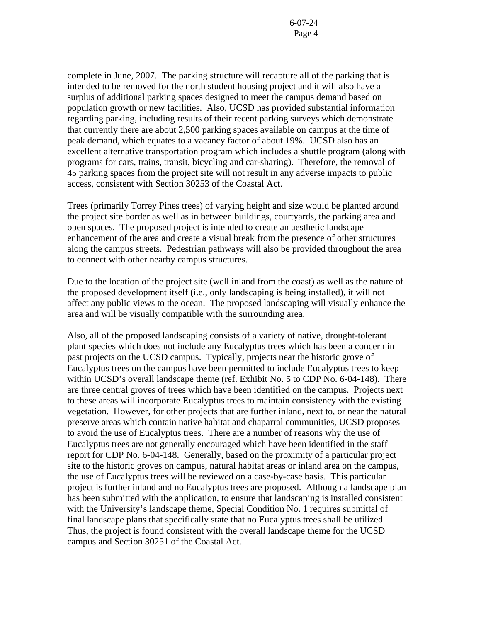complete in June, 2007. The parking structure will recapture all of the parking that is intended to be removed for the north student housing project and it will also have a surplus of additional parking spaces designed to meet the campus demand based on population growth or new facilities. Also, UCSD has provided substantial information regarding parking, including results of their recent parking surveys which demonstrate that currently there are about 2,500 parking spaces available on campus at the time of peak demand, which equates to a vacancy factor of about 19%. UCSD also has an excellent alternative transportation program which includes a shuttle program (along with programs for cars, trains, transit, bicycling and car-sharing). Therefore, the removal of 45 parking spaces from the project site will not result in any adverse impacts to public access, consistent with Section 30253 of the Coastal Act.

Trees (primarily Torrey Pines trees) of varying height and size would be planted around the project site border as well as in between buildings, courtyards, the parking area and open spaces. The proposed project is intended to create an aesthetic landscape enhancement of the area and create a visual break from the presence of other structures along the campus streets. Pedestrian pathways will also be provided throughout the area to connect with other nearby campus structures.

Due to the location of the project site (well inland from the coast) as well as the nature of the proposed development itself (i.e., only landscaping is being installed), it will not affect any public views to the ocean. The proposed landscaping will visually enhance the area and will be visually compatible with the surrounding area.

Also, all of the proposed landscaping consists of a variety of native, drought-tolerant plant species which does not include any Eucalyptus trees which has been a concern in past projects on the UCSD campus. Typically, projects near the historic grove of Eucalyptus trees on the campus have been permitted to include Eucalyptus trees to keep within UCSD's overall landscape theme (ref. Exhibit No. 5 to CDP No. 6-04-148). There are three central groves of trees which have been identified on the campus. Projects next to these areas will incorporate Eucalyptus trees to maintain consistency with the existing vegetation. However, for other projects that are further inland, next to, or near the natural preserve areas which contain native habitat and chaparral communities, UCSD proposes to avoid the use of Eucalyptus trees. There are a number of reasons why the use of Eucalyptus trees are not generally encouraged which have been identified in the staff report for CDP No. 6-04-148. Generally, based on the proximity of a particular project site to the historic groves on campus, natural habitat areas or inland area on the campus, the use of Eucalyptus trees will be reviewed on a case-by-case basis. This particular project is further inland and no Eucalyptus trees are proposed. Although a landscape plan has been submitted with the application, to ensure that landscaping is installed consistent with the University's landscape theme, Special Condition No. 1 requires submittal of final landscape plans that specifically state that no Eucalyptus trees shall be utilized. Thus, the project is found consistent with the overall landscape theme for the UCSD campus and Section 30251 of the Coastal Act.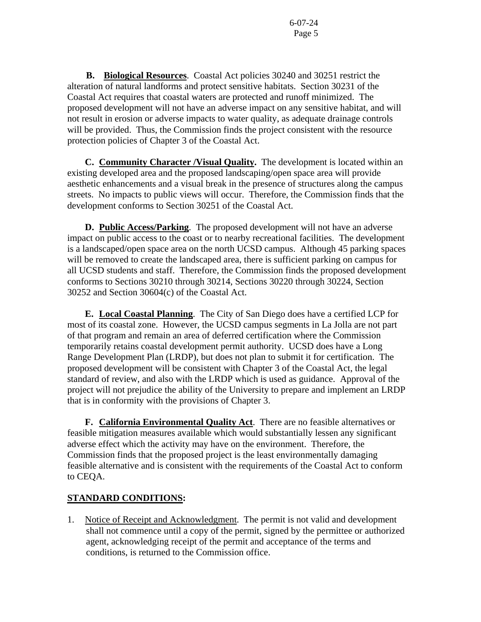**B. Biological Resources**. Coastal Act policies 30240 and 30251 restrict the alteration of natural landforms and protect sensitive habitats. Section 30231 of the Coastal Act requires that coastal waters are protected and runoff minimized. The proposed development will not have an adverse impact on any sensitive habitat, and will not result in erosion or adverse impacts to water quality, as adequate drainage controls will be provided. Thus, the Commission finds the project consistent with the resource protection policies of Chapter 3 of the Coastal Act.

 **C. Community Character /Visual Quality.** The development is located within an existing developed area and the proposed landscaping/open space area will provide aesthetic enhancements and a visual break in the presence of structures along the campus streets. No impacts to public views will occur. Therefore, the Commission finds that the development conforms to Section 30251 of the Coastal Act.

**D. Public Access/Parking**. The proposed development will not have an adverse impact on public access to the coast or to nearby recreational facilities. The development is a landscaped/open space area on the north UCSD campus. Although 45 parking spaces will be removed to create the landscaped area, there is sufficient parking on campus for all UCSD students and staff. Therefore, the Commission finds the proposed development conforms to Sections 30210 through 30214, Sections 30220 through 30224, Section 30252 and Section 30604(c) of the Coastal Act.

**E. Local Coastal Planning**. The City of San Diego does have a certified LCP for most of its coastal zone. However, the UCSD campus segments in La Jolla are not part of that program and remain an area of deferred certification where the Commission temporarily retains coastal development permit authority. UCSD does have a Long Range Development Plan (LRDP), but does not plan to submit it for certification. The proposed development will be consistent with Chapter 3 of the Coastal Act, the legal standard of review, and also with the LRDP which is used as guidance. Approval of the project will not prejudice the ability of the University to prepare and implement an LRDP that is in conformity with the provisions of Chapter 3.

 **F. California Environmental Quality Act**. There are no feasible alternatives or feasible mitigation measures available which would substantially lessen any significant adverse effect which the activity may have on the environment. Therefore, the Commission finds that the proposed project is the least environmentally damaging feasible alternative and is consistent with the requirements of the Coastal Act to conform to CEQA.

# **STANDARD CONDITIONS:**

1. Notice of Receipt and Acknowledgment. The permit is not valid and development shall not commence until a copy of the permit, signed by the permittee or authorized agent, acknowledging receipt of the permit and acceptance of the terms and conditions, is returned to the Commission office.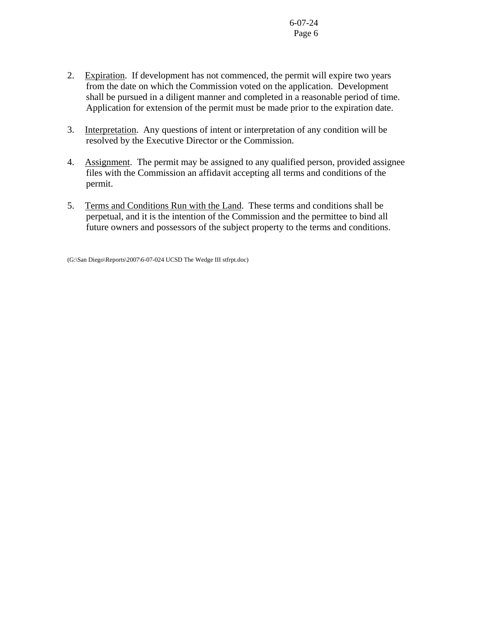- 2. Expiration. If development has not commenced, the permit will expire two years from the date on which the Commission voted on the application. Development shall be pursued in a diligent manner and completed in a reasonable period of time. Application for extension of the permit must be made prior to the expiration date.
- 3. Interpretation. Any questions of intent or interpretation of any condition will be resolved by the Executive Director or the Commission.
- 4. Assignment. The permit may be assigned to any qualified person, provided assignee files with the Commission an affidavit accepting all terms and conditions of the permit.
- 5. Terms and Conditions Run with the Land. These terms and conditions shall be perpetual, and it is the intention of the Commission and the permittee to bind all future owners and possessors of the subject property to the terms and conditions.

(G:\San Diego\Reports\2007\6-07-024 UCSD The Wedge III stfrpt.doc)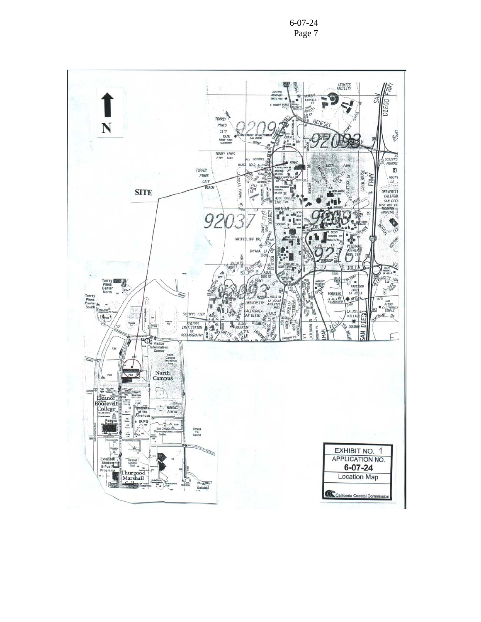6-07-24 Page 7

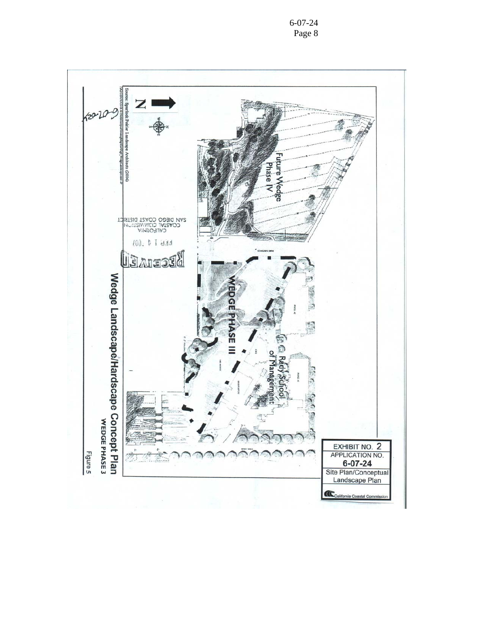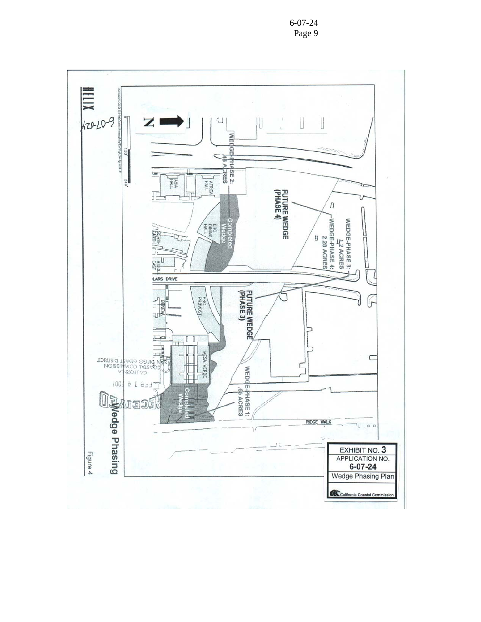